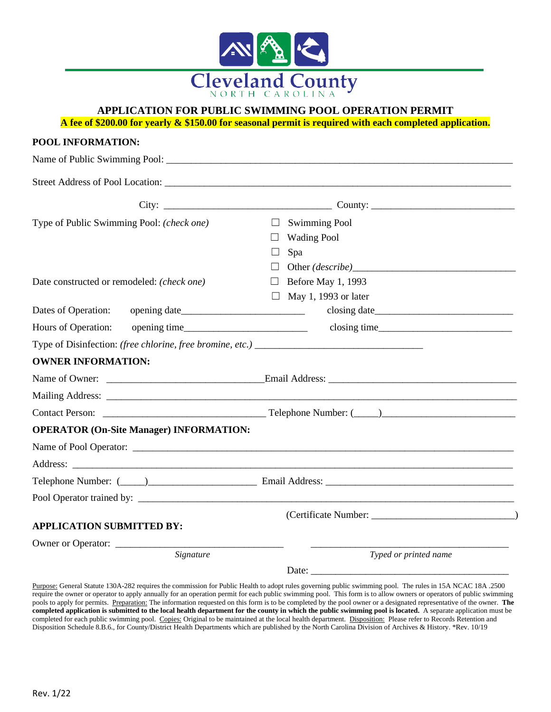

## **APPLICATION FOR PUBLIC SWIMMING POOL OPERATION PERMIT**

**A fee of \$200.00 for yearly & \$150.00 for seasonal permit is required with each completed application.**

| POOL INFORMATION:                                         |                                                                                                               |
|-----------------------------------------------------------|---------------------------------------------------------------------------------------------------------------|
|                                                           |                                                                                                               |
|                                                           |                                                                                                               |
|                                                           |                                                                                                               |
| Type of Public Swimming Pool: (check one)                 | <b>Swimming Pool</b><br>$\Box$                                                                                |
|                                                           | <b>Wading Pool</b><br>ப                                                                                       |
|                                                           | Spa<br>Ш                                                                                                      |
|                                                           | Other <i>(describe)</i> example 2014 and 2016                                                                 |
| Date constructed or remodeled: (check one)                | Before May 1, 1993<br>$\Box$                                                                                  |
|                                                           | $\Box$ May 1, 1993 or later                                                                                   |
| Dates of Operation:                                       |                                                                                                               |
| Hours of Operation:                                       |                                                                                                               |
| Type of Disinfection: (free chlorine, free bromine, etc.) |                                                                                                               |
| <b>OWNER INFORMATION:</b>                                 |                                                                                                               |
|                                                           |                                                                                                               |
|                                                           |                                                                                                               |
|                                                           |                                                                                                               |
| <b>OPERATOR (On-Site Manager) INFORMATION:</b>            |                                                                                                               |
|                                                           |                                                                                                               |
|                                                           |                                                                                                               |
|                                                           | Telephone Number: (1000) 2000 Email Address: 2000 Email Address: 2000 Email Address: 2000 Email Address: 2000 |
|                                                           |                                                                                                               |
|                                                           |                                                                                                               |
| <b>APPLICATION SUBMITTED BY:</b>                          |                                                                                                               |
| Owner or Operator:<br>Signature                           | Typed or printed name                                                                                         |
|                                                           |                                                                                                               |
|                                                           |                                                                                                               |

Purpose: General Statute 130A-282 requires the commission for Public Health to adopt rules governing public swimming pool. The rules in 15A NCAC 18A .2500 require the owner or operator to apply annually for an operation permit for each public swimming pool. This form is to allow owners or operators of public swimming pools to apply for permits. Preparation: The information requested on this form is to be completed by the pool owner or a designated representative of the owner. **The completed application is submitted to the local health department for the county in which the public swimming pool is located.** A separate application must be completed for each public swimming pool. Copies: Original to be maintained at the local health department. Disposition: Please refer to Records Retention and Disposition Schedule 8.B.6., for County/District Health Departments which are published by the North Carolina Division of Archives & History. \*Rev. 10/19